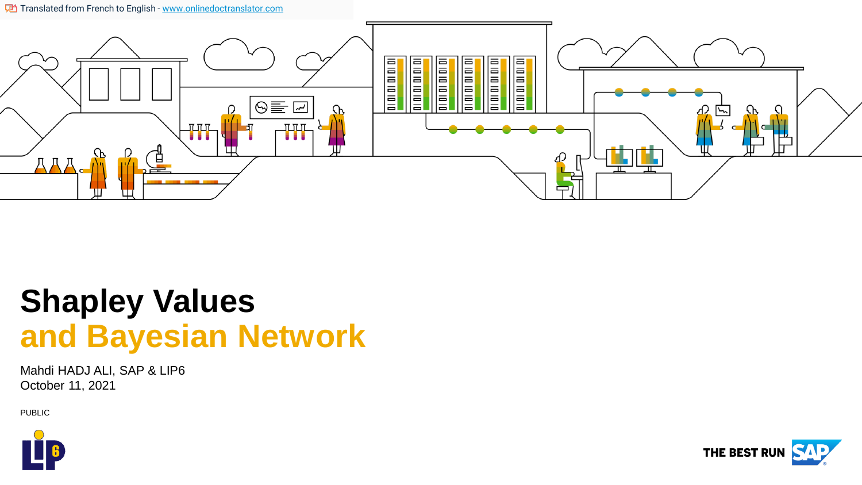The Translated from French to English - [www.onlinedoctranslator.com](https://www.onlinedoctranslator.com/en/?utm_source=onlinedoctranslator&utm_medium=pptx&utm_campaign=attribution)



## **Shapley Values and Bayesian Network**

Mahdi HADJ ALI, SAP & LIP6 October 11, 2021

PUBLIC



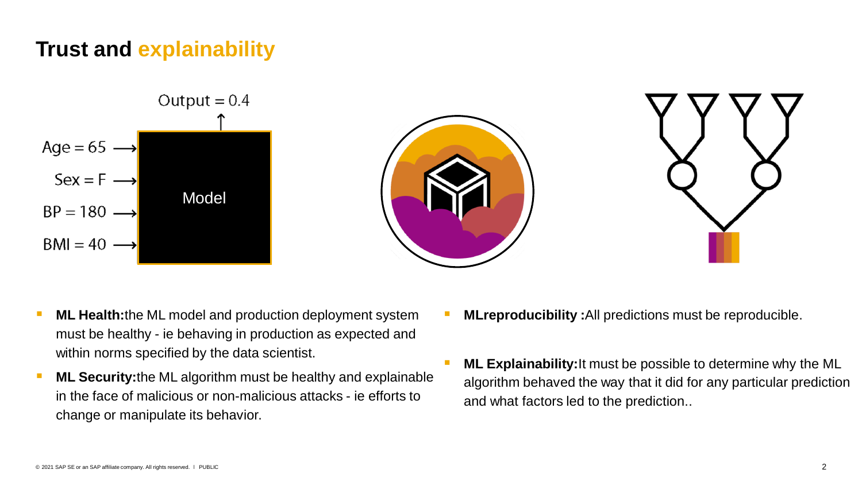## **Trust and explainability**



- **ML Health:**the ML model and production deployment system must be healthy - ie behaving in production as expected and within norms specified by the data scientist.
- **ML Security:**the ML algorithm must be healthy and explainable in the face of malicious or non-malicious attacks - ie efforts to change or manipulate its behavior.
- **MLreproducibility** : All predictions must be reproducible.
- **ML Explainability: It must be possible to determine why the ML** algorithm behaved the way that it did for any particular prediction and what factors led to the prediction..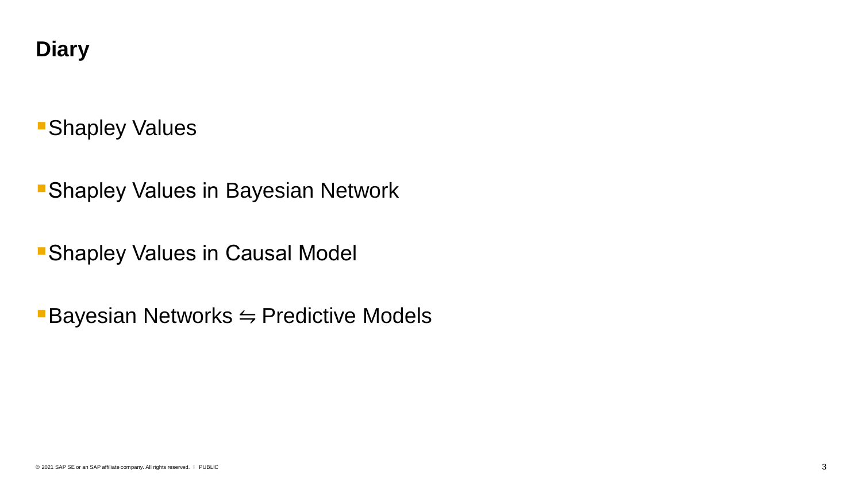## **Diary**

## **Bishapley Values**

**BRANGIEY Values in Bayesian Network** 

**BRANGIEY Values in Causal Model** 

 $\blacksquare$  Bayesian Networks  $\leftrightharpoons$  Predictive Models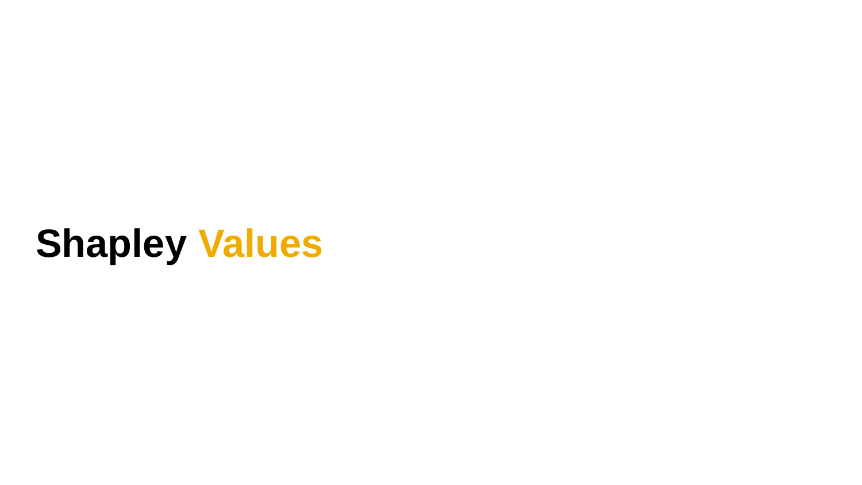# **Shapley Values**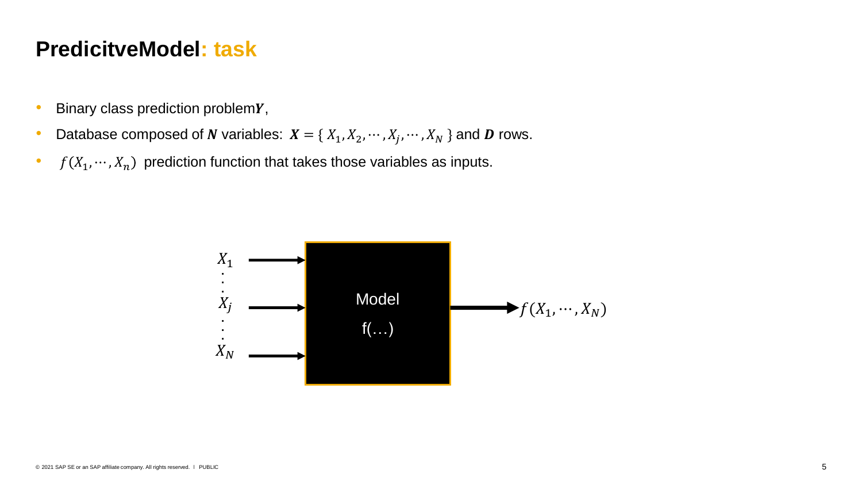## **PredicitveModel: task**

- $\bullet$  Binary class prediction problem  $Y$ ,
- Database composed of N variables:  $X = \{X_1, X_2, \dots, X_j, \dots, X_N\}$  and D rows.
- $f(X_1, \dots, X_n)$  prediction function that takes those variables as inputs.

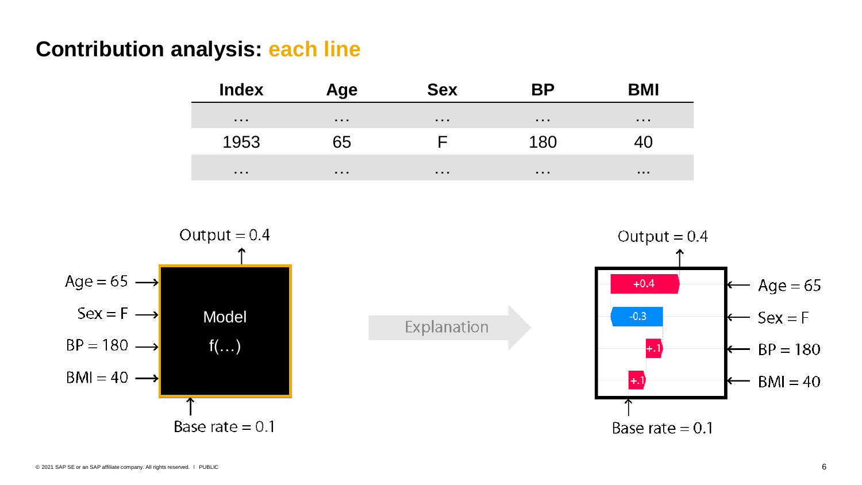## **Contribution analysis: each line**

**Index Age Sex BP BMI** … … … … … 1953 65 F 180 40 … … … … ...

Explanation



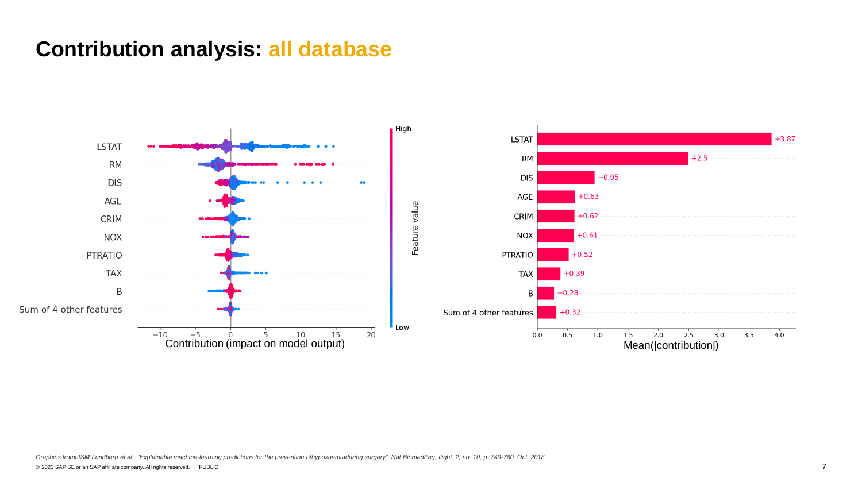## **Contribution analysis: all database**

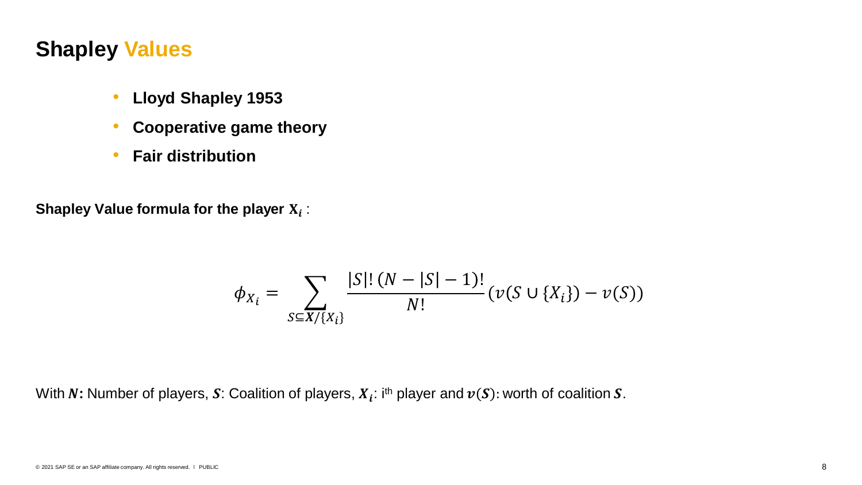## **Shapley Values**

- **Lloyd Shapley 1953**
- **Cooperative game theory**
- **Fair distribution**

Shapley Value formula for the player  $\mathbf{X}_i$  :

$$
\phi_{X_i} = \sum_{S \subseteq X / \{X_i\}} \frac{|S|! (N - |S| - 1)!}{N!} (\nu(S \cup \{X_i\}) - \nu(S))
$$

With  $N$ : Number of players,  $\pmb{S}$ : Coalition of players,  $X_{\pmb{i}}$ : i<sup>th</sup> player and  $\pmb{\nu}(\pmb{S})$ : worth of coalition  $\pmb{S}.$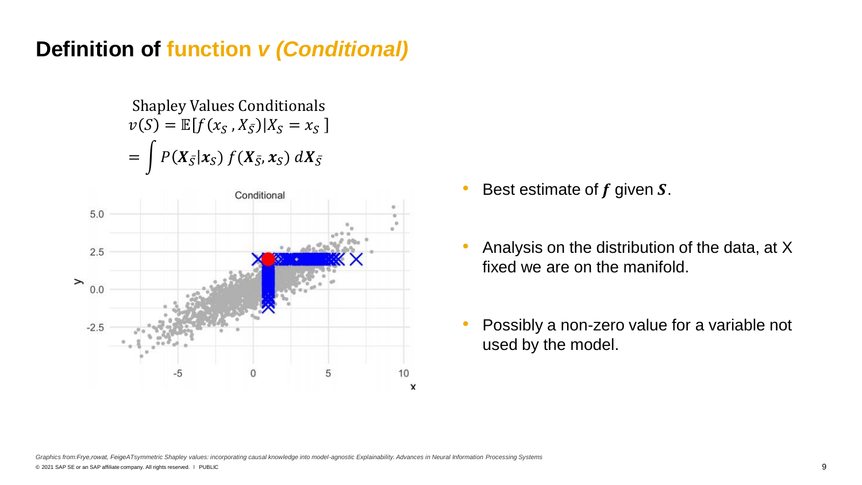## **Definition of function** *v (Conditional)*

Shapley Values Conditionals  $v(S) = \mathbb{E}[f(x_S, X_{\bar{S}})|X_S = x_S]$  $=\int P(X_{\bar{S}}|x_S) f(X_{\bar{S}}, x_S) dX_{\bar{S}}$ 



- Best estimate of  $f$  given  $S$ .
- Analysis on the distribution of the data, at X fixed we are on the manifold.
- Possibly a non-zero value for a variable not used by the model.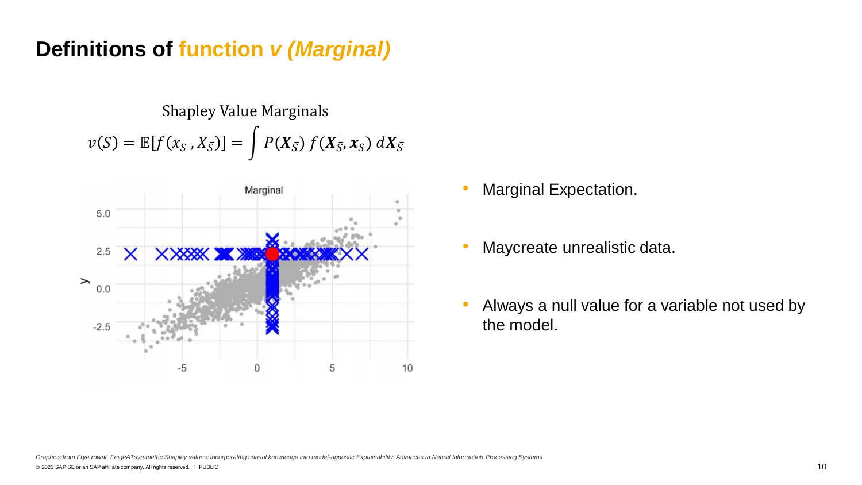## **Definitions of function** *v (Marginal)*

Shapley Value Marginals  $v(S) = \mathbb{E}[f(x_S, X_{\overline{S}})] = \int P(X_{\overline{S}}) f(X_{\overline{S}}, x_S) dX_{\overline{S}}$ 



- Marginal Expectation.
- Maycreate unrealistic data.
- Always a null value for a variable not used by the model.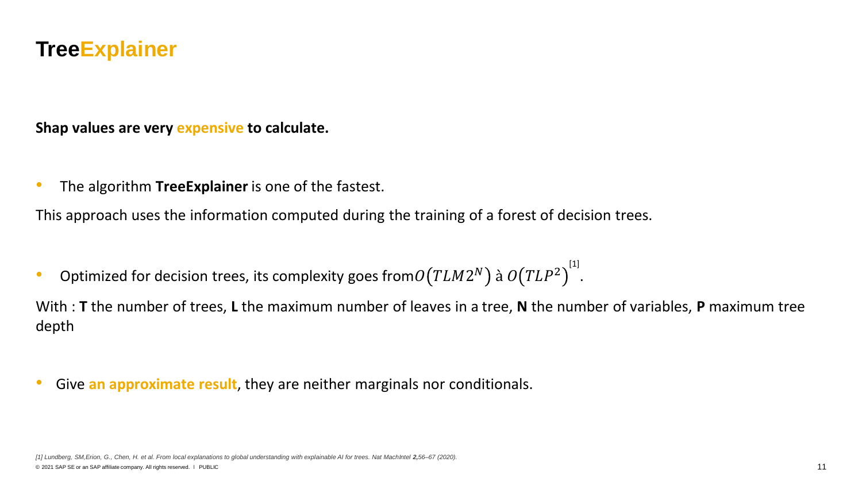### **TreeExplainer**

**Shap values are very expensive to calculate.**

• The algorithm **TreeExplainer** is one of the fastest.

This approach uses the information computed during the training of a forest of decision trees.

• Optimized for decision trees, its complexity goes from $\mathit{O}\!\left(TLM2^N\right)$  à  $\mathit{O}\!\left(TLP^2\right)^{[1]}$ .

With : **T** the number of trees, **L** the maximum number of leaves in a tree, **N** the number of variables, **P** maximum tree depth

• Give **an approximate result**, they are neither marginals nor conditionals.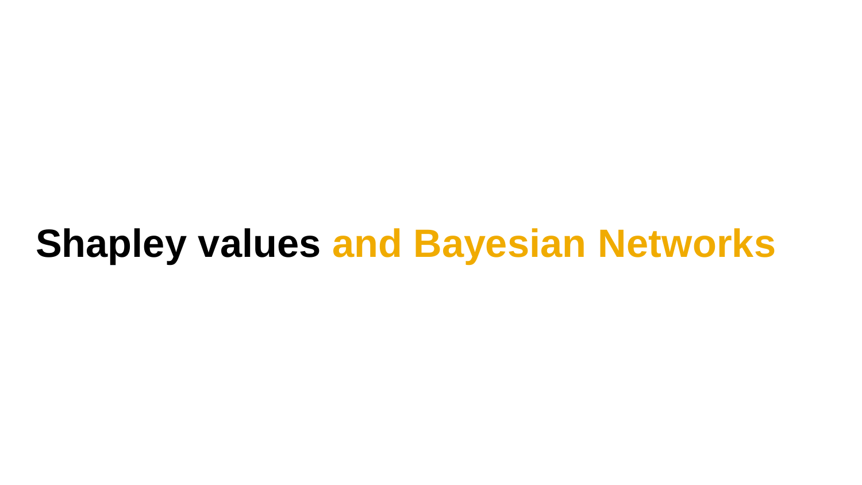# **Shapley values and Bayesian Networks**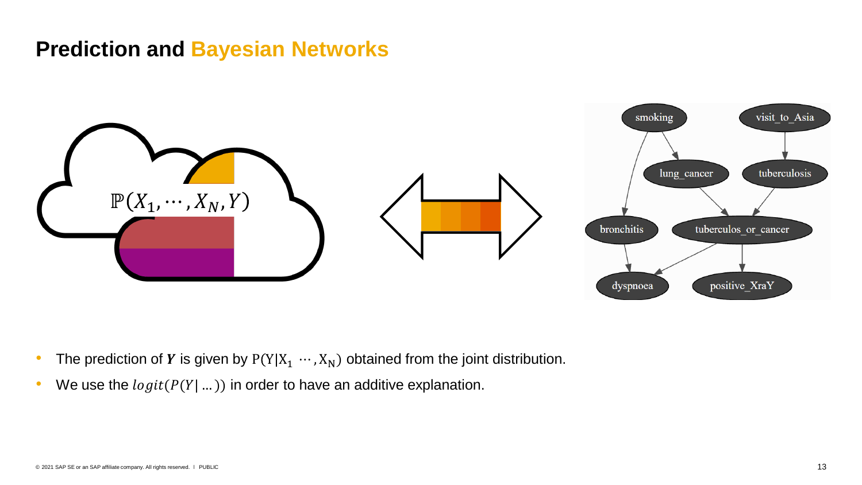## **Prediction and Bayesian Networks**



- The prediction of Y is given by  $P(Y|X_1 \cdots, X_N)$  obtained from the joint distribution.
- We use the  $logit(P(Y | ...))$  in order to have an additive explanation.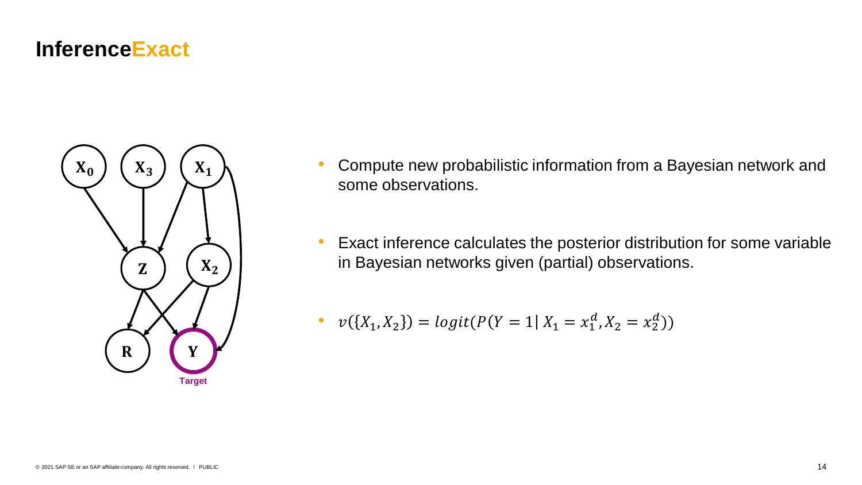### **InferenceExact**



- Compute new probabilistic information from a Bayesian network and some observations.
- Exact inference calculates the posterior distribution for some variable in Bayesian networks given (partial) observations.

• 
$$
v({X_1, X_2}) = logit(P(Y = 1 | X_1 = x_1^d, X_2 = x_2^d))
$$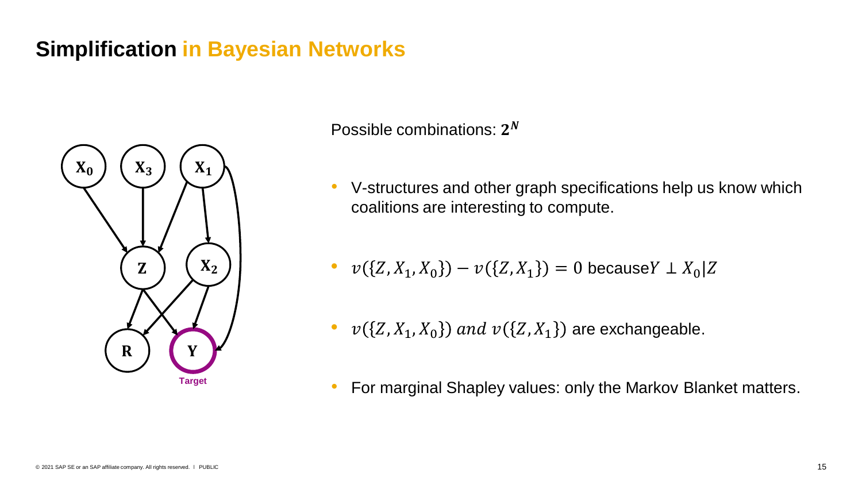## **Simplification in Bayesian Networks**



Possible combinations:  $2^N$ 

• V-structures and other graph specifications help us know which coalitions are interesting to compute.

• 
$$
v({Z, X_1, X_0}) - v({Z, X_1}) = 0
$$
 becauseY  $\perp X_0 | Z$ 

- $v({Z}, X_1, X_0)$  and  $v({Z}, X_1)$  are exchangeable.
- For marginal Shapley values: only the Markov Blanket matters.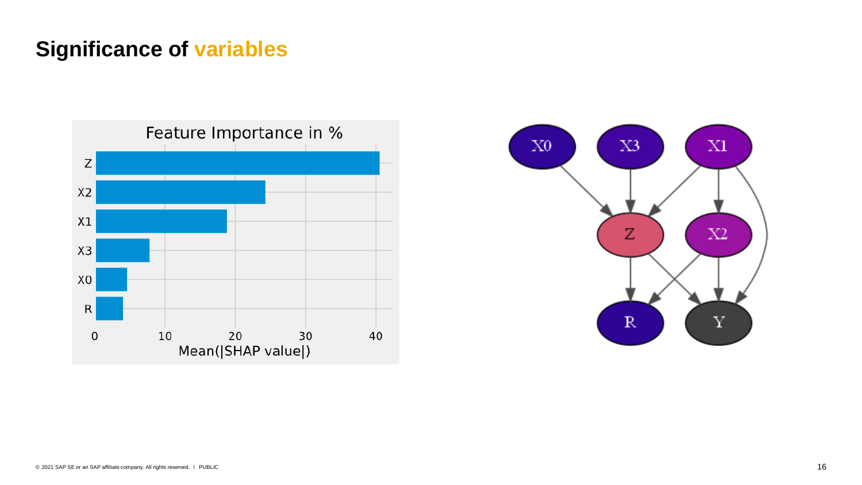## **Significance of variables**



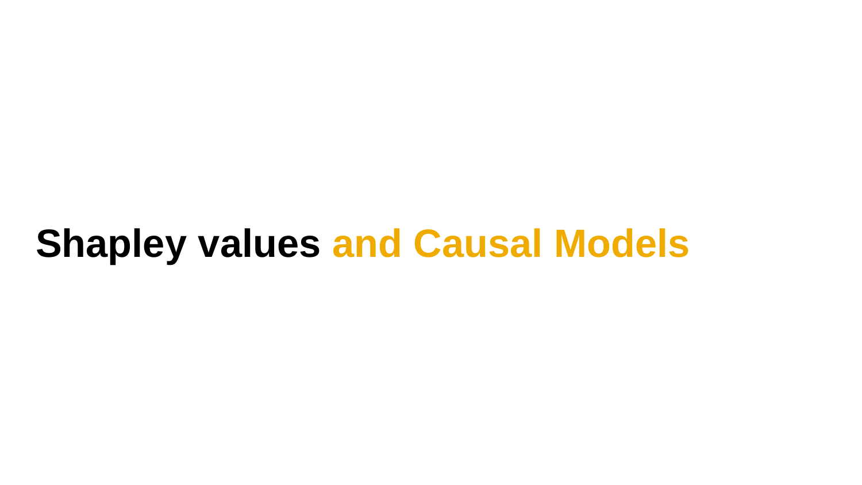## **Shapley values and Causal Models**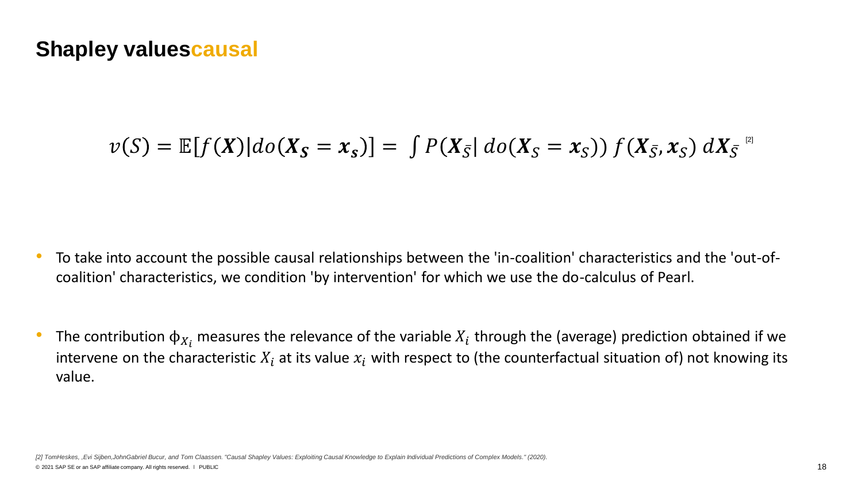## **Shapley valuescausal**

$$
v(S) = \mathbb{E}[f(X)|do(X_S = x_S)] = \int P(X_{\bar{S}}|do(X_S = x_S)) f(X_{\bar{S}}, x_S) dX_{\bar{S}}^{2}
$$

- To take into account the possible causal relationships between the 'in-coalition' characteristics and the 'out-ofcoalition' characteristics, we condition 'by intervention' for which we use the do-calculus of Pearl.
- The contribution  $\phi_{X_i}$  measures the relevance of the variable  $X_i$  through the (average) prediction obtained if we intervene on the characteristic  $X_i$  at its value  $x_i$  with respect to (the counterfactual situation of) not knowing its value.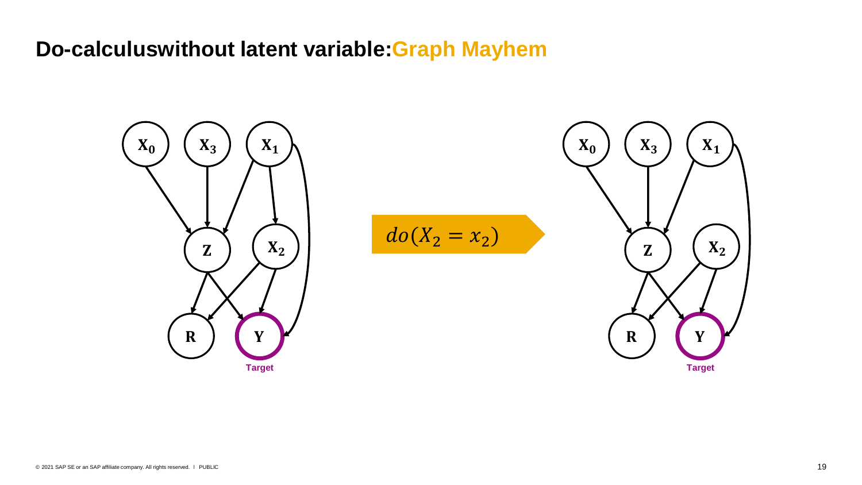## **Do-calculuswithout latent variable:Graph Mayhem**

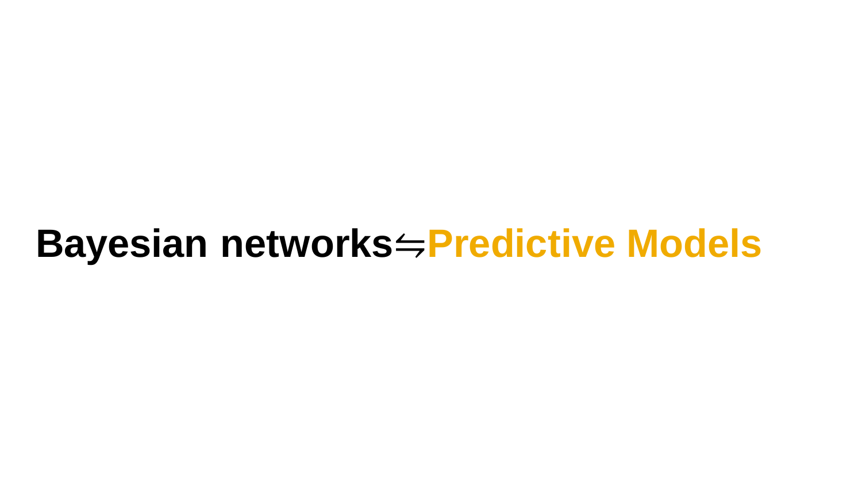## **Bayesian networks**⇋**Predictive Models**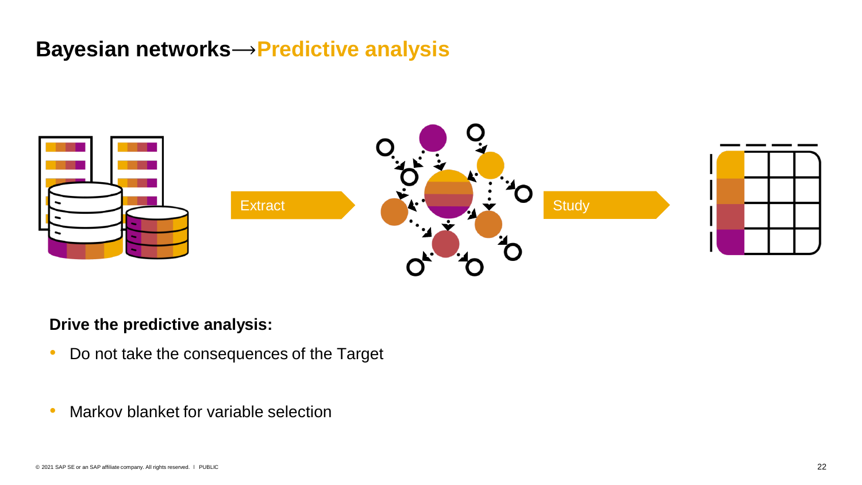## **Bayesian networks**⟶**Predictive analysis**



#### **Drive the predictive analysis:**

- Do not take the consequences of the Target
- Markov blanket for variable selection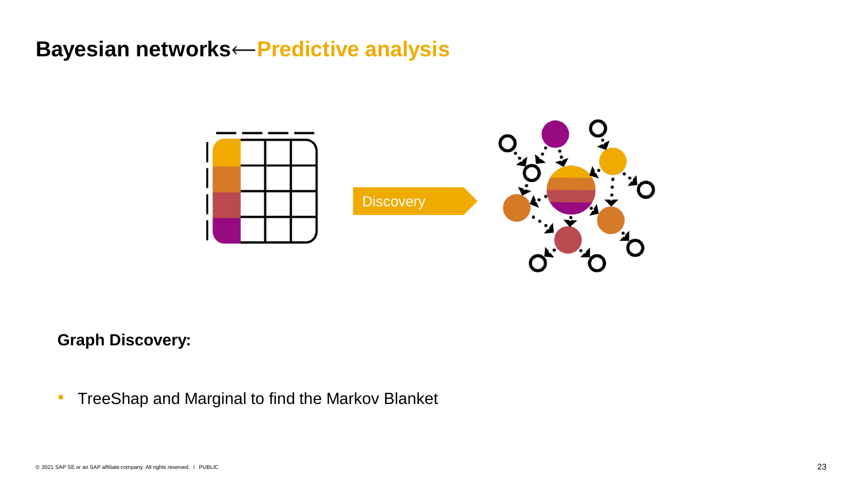## **Bayesian networks**⟵**Predictive analysis**



#### **Graph Discovery:**

• TreeShap and Marginal to find the Markov Blanket